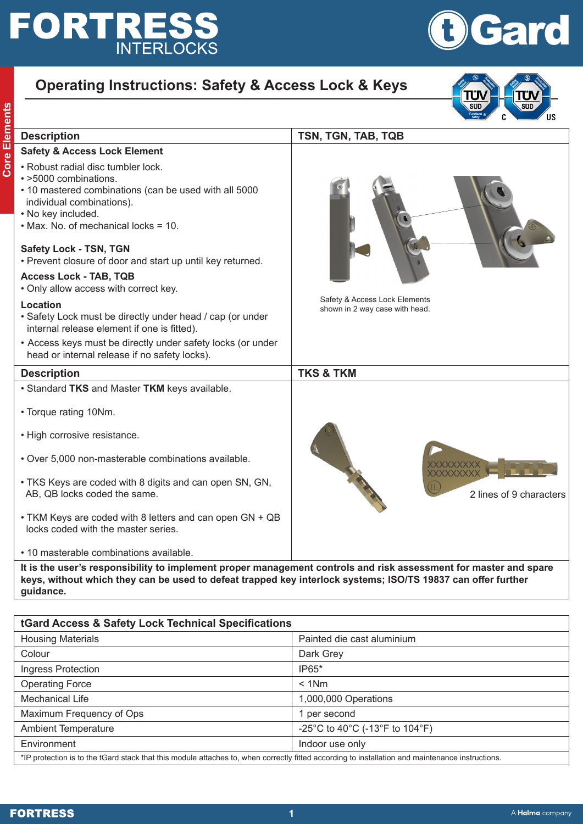## **FORTRESS**



 $\overline{\text{SUD}}$ 

 $\overline{\overline{\text{sup}}}$ 

## **Operating Instructions: Safety & Access Lock & Keys**

| <b>Description</b>                                                                                                                                                                                              | TSN, TGN, TAB, TQB                                              |
|-----------------------------------------------------------------------------------------------------------------------------------------------------------------------------------------------------------------|-----------------------------------------------------------------|
| <b>Safety &amp; Access Lock Element</b>                                                                                                                                                                         |                                                                 |
| • Robust radial disc tumbler lock.<br>· >5000 combinations.<br>• 10 mastered combinations (can be used with all 5000<br>individual combinations).<br>• No key included.<br>• Max. No. of mechanical locks = 10. |                                                                 |
| Safety Lock - TSN, TGN<br>• Prevent closure of door and start up until key returned.                                                                                                                            |                                                                 |
| <b>Access Lock - TAB, TQB</b><br>. Only allow access with correct key.                                                                                                                                          |                                                                 |
| Location<br>• Safety Lock must be directly under head / cap (or under<br>internal release element if one is fitted).                                                                                            | Safety & Access Lock Elements<br>shown in 2 way case with head. |
| • Access keys must be directly under safety locks (or under<br>head or internal release if no safety locks).                                                                                                    |                                                                 |
| <b>Description</b>                                                                                                                                                                                              | <b>TKS &amp; TKM</b>                                            |
| • Standard TKS and Master TKM keys available.                                                                                                                                                                   |                                                                 |
| • Torque rating 10Nm.                                                                                                                                                                                           |                                                                 |
| • High corrosive resistance.                                                                                                                                                                                    |                                                                 |
| • Over 5,000 non-masterable combinations available.                                                                                                                                                             |                                                                 |
| • TKS Keys are coded with 8 digits and can open SN, GN,<br>AB, QB locks coded the same.                                                                                                                         | 2 lines of 9 characters                                         |
| • TKM Keys are coded with 8 letters and can open GN + QB<br>locks coded with the master series.                                                                                                                 |                                                                 |
| • 10 masterable combinations available.                                                                                                                                                                         |                                                                 |

**guidance.** 

| tGard Access & Safety Lock Technical Specifications                                                                                              |                                |  |
|--------------------------------------------------------------------------------------------------------------------------------------------------|--------------------------------|--|
| <b>Housing Materials</b>                                                                                                                         | Painted die cast aluminium     |  |
| Colour                                                                                                                                           | Dark Grey                      |  |
| Ingress Protection                                                                                                                               | IP65*                          |  |
| <b>Operating Force</b>                                                                                                                           | $< 1$ Nm                       |  |
| Mechanical Life                                                                                                                                  | 1,000,000 Operations           |  |
| Maximum Frequency of Ops                                                                                                                         | per second                     |  |
| <b>Ambient Temperature</b>                                                                                                                       | -25°C to 40°C (-13°F to 104°F) |  |
| Environment                                                                                                                                      | Indoor use only                |  |
| *IP protection is to the tGard stack that this module attaches to, when correctly fitted according to installation and maintenance instructions. |                                |  |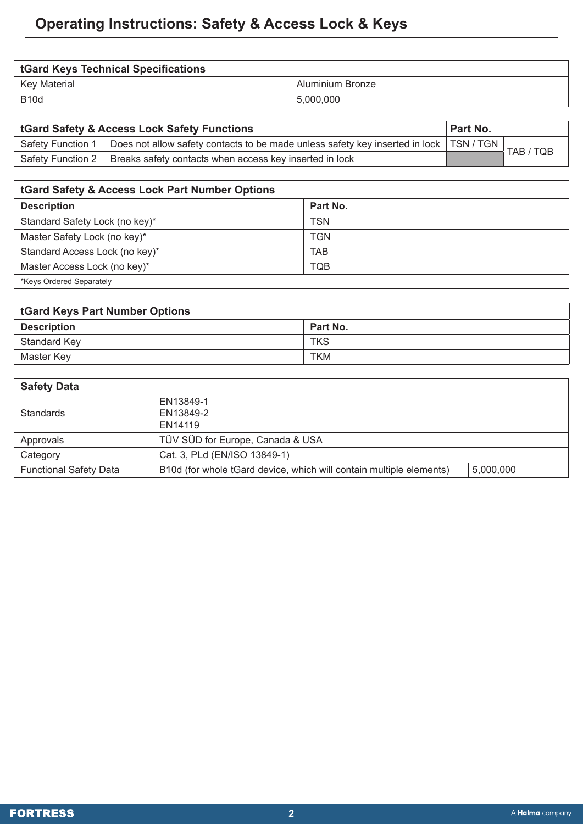| <b>tGard Keys Technical Specifications</b> |                  |  |
|--------------------------------------------|------------------|--|
| Key Material                               | Aluminium Bronze |  |
| <b>B10d</b>                                | 5,000,000        |  |

| tGard Safety & Access Lock Safety Functions |                                                                                          | Part No. |           |
|---------------------------------------------|------------------------------------------------------------------------------------------|----------|-----------|
| Safety Function 1                           | Does not allow safety contacts to be made unless safety key inserted in lock   TSN / TGN |          | TAB / TQB |
|                                             | Safety Function 2   Breaks safety contacts when access key inserted in lock              |          |           |

| <b>tGard Safety &amp; Access Lock Part Number Options</b> |            |
|-----------------------------------------------------------|------------|
| <b>Description</b>                                        | Part No.   |
| Standard Safety Lock (no key)*                            | <b>TSN</b> |
| Master Safety Lock (no key)*                              | <b>TGN</b> |
| Standard Access Lock (no key)*                            | <b>TAB</b> |
| Master Access Lock (no key)*                              | TQB        |
| *Keys Ordered Separately                                  |            |

| <b>tGard Keys Part Number Options</b> |            |  |
|---------------------------------------|------------|--|
| <b>Description</b>                    | Part No.   |  |
| Standard Key                          | <b>TKS</b> |  |
| Master Key                            | <b>TKM</b> |  |

| <b>Safety Data</b>            |                                                                     |           |  |
|-------------------------------|---------------------------------------------------------------------|-----------|--|
|                               | EN13849-1                                                           |           |  |
| <b>Standards</b>              | EN13849-2                                                           |           |  |
|                               | EN14119                                                             |           |  |
| Approvals                     | TÜV SÜD for Europe, Canada & USA                                    |           |  |
| Category                      | Cat. 3, PLd (EN/ISO 13849-1)                                        |           |  |
| <b>Functional Safety Data</b> | B10d (for whole tGard device, which will contain multiple elements) | 5,000,000 |  |